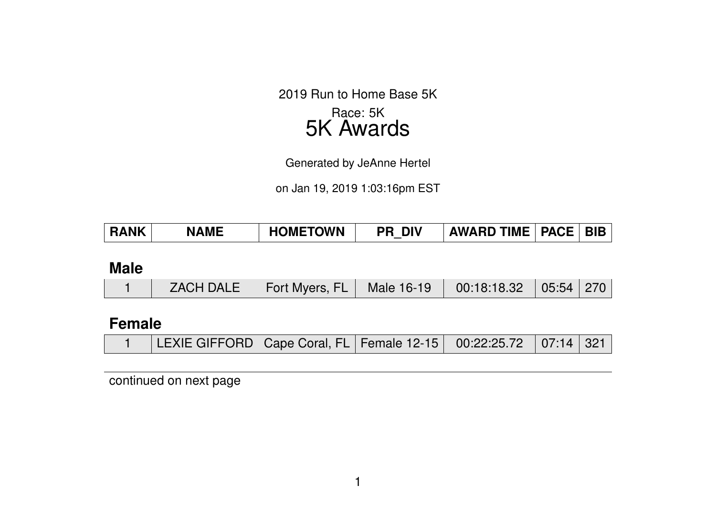2019 Run to Home Base 5K Race: 5K 5K Awards

Generated by JeAnne Hertel

on Jan 19, 2019 1:03:16pm EST

| <b>RANK</b> | <b>NAME</b>      | <b>HOMETOWN</b> | <b>PR DIV</b> | <b>AWARD TIME   PACE   BIB</b> |       |     |
|-------------|------------------|-----------------|---------------|--------------------------------|-------|-----|
|             |                  |                 |               |                                |       |     |
| <b>Male</b> |                  |                 |               |                                |       |     |
|             | <b>ZACH DALE</b> | Fort Myers, FL  | Male 16-19    | 00:18:18.32                    | 05:54 | 270 |
|             |                  |                 |               |                                |       |     |

## **Female**

|  | LEXIE GIFFORD   Cape Coral, FL   Female 12-15   00:22:25.72   07:14   321 |  |  |  |  |  |
|--|---------------------------------------------------------------------------|--|--|--|--|--|
|--|---------------------------------------------------------------------------|--|--|--|--|--|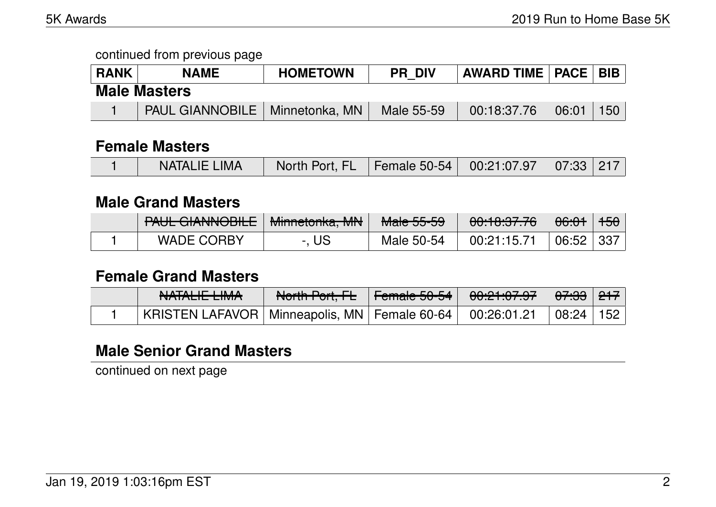| <b>RANK</b>         | <b>NAME</b>                             | <b>HOMETOWN</b> | <b>PR DIV</b> | AWARD TIME   PACE   BIB |       |     |  |  |
|---------------------|-----------------------------------------|-----------------|---------------|-------------------------|-------|-----|--|--|
| <b>Male Masters</b> |                                         |                 |               |                         |       |     |  |  |
|                     | <b>PAUL GIANNOBILE</b>   Minnetonka, MN |                 | Male 55-59    | 00:18:37.76             | 06:01 | 150 |  |  |

### **Female Masters**

|  | <b>NATALIE LIMA</b> | North Port, FL Female 50-54 00:21:07.97 07:33 217 |  |  |  |  |
|--|---------------------|---------------------------------------------------|--|--|--|--|
|--|---------------------|---------------------------------------------------|--|--|--|--|

#### **Male Grand Masters**

| DALIL CIANNIQDILE<br><b>TAUL UIANNOUILE</b> | Minnatonica MNI<br><u>Minicionina, ivity</u> | MoleEEEQ<br><del>Malc JJ-JJ</del> | <u>AA.10.07.70</u><br><del>uu. 10.07.70</del> | <del>06:01</del> | <del>150</del> |
|---------------------------------------------|----------------------------------------------|-----------------------------------|-----------------------------------------------|------------------|----------------|
| <b>WADE CORBY</b>                           | - US                                         | Male 50-54                        | 00:21:15.71                                   | 06:52            | $+337$         |

### **Female Grand Masters**

| <u>MATALIE LIMAA</u><br>IVAIALIL LIIVIA                        | North Port, FL Female 50-54   00:21:07.97 |  | <del>07:33</del>   <del>217</del> |  |
|----------------------------------------------------------------|-------------------------------------------|--|-----------------------------------|--|
| KRISTEN LAFAVOR   Minneapolis, MN   Female 60-64   00:26:01.21 |                                           |  | 08:24 152                         |  |

## **Male Senior Grand Masters**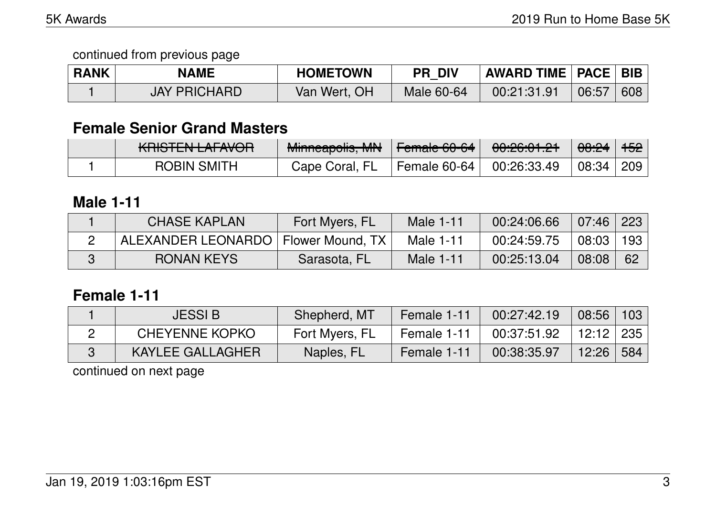| <b>RANK</b> | <b>NAME</b>         | <b>HOMETOWN</b> | <b>PR DIV</b> | <b>AWARD TIME   PACE   BIB  </b> |       |     |
|-------------|---------------------|-----------------|---------------|----------------------------------|-------|-----|
|             | <b>JAY PRICHARD</b> | Van Wert, OH    | Male 60-64    | 00:21:31.91                      | 06:57 | 608 |

## **Female Senior Grand Masters**

| <u>MNOTEN LALAVUN</u> | Minneson Le MM<br><b>MINITICADUNS, IVITY</b> | L<br>$\parallel$ $\Gamma$ on ratio $\sim$ 00-04 $\parallel$ | 0.000001<br>0.20.01.21 | <del>08:24</del> ∣ <del>152</del> ∣ |  |
|-----------------------|----------------------------------------------|-------------------------------------------------------------|------------------------|-------------------------------------|--|
| <b>ROBIN SMITH</b>    | Cape Coral, FL                               | Female 60-64 $\parallel$                                    | $\perp$ 00:26:33.49    | 08:34 209                           |  |

## **Male 1-11**

| <b>CHASE KAPLAN</b>                   | Fort Myers, FL | Male 1-11 | 00:24:06.66 | $07:46 \mid 223$ |     |
|---------------------------------------|----------------|-----------|-------------|------------------|-----|
| ALEXANDER LEONARDO   Flower Mound, TX |                | Male 1-11 | 00:24:59.75 | 08:03            | 193 |
| <b>RONAN KEYS</b>                     | Sarasota, FL   | Male 1-11 | 00:25:13.04 | 08:08            | -62 |

### **Female 1-11**

| <b>JESSI B</b>        | Shepherd, MT   | Female 1-11 | 00:27:42.19 | 08:56            | 103 |
|-----------------------|----------------|-------------|-------------|------------------|-----|
| <b>CHEYENNE KOPKO</b> | Fort Myers, FL | Female 1-11 | 00:37:51.92 | $12:12 \mid 235$ |     |
| KAYLEE GALLAGHER      | Naples, FL     | Female 1-11 | 00:38:35.97 | 12:26            | 584 |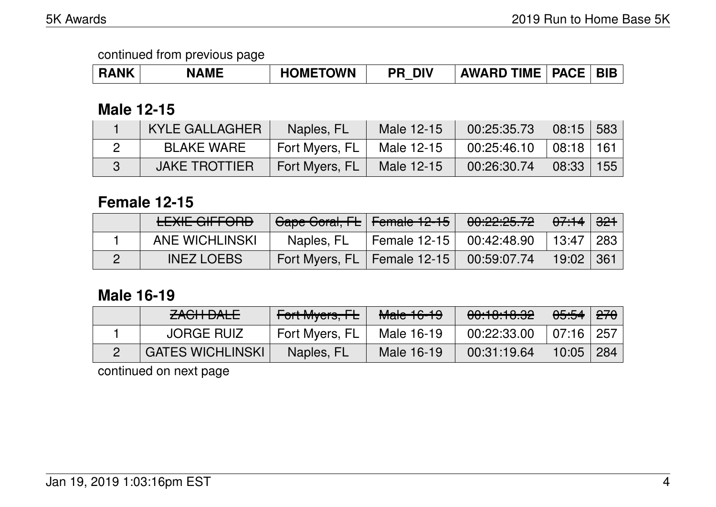| <b>INK</b><br><b>ME</b><br>NL.<br>л. | <b>METOWN</b><br>эмг | ווכ<br>DI | <b>TIME</b><br><b>AWARD</b> | $\mathsf{C}\mathsf{E}$<br>PΔ.<br>$-$ | <b>BIE</b> |
|--------------------------------------|----------------------|-----------|-----------------------------|--------------------------------------|------------|
|--------------------------------------|----------------------|-----------|-----------------------------|--------------------------------------|------------|

### **Male 12-15**

| <b>KYLE GALLAGHER</b> | Naples, FL     | Male 12-15 | 00:25:35.73 | $08:15$ 583   |  |
|-----------------------|----------------|------------|-------------|---------------|--|
| BLAKE WARE            | Fort Myers, FL | Male 12-15 | 00:25:46.10 | 08:18 161     |  |
| <b>JAKE TROTTIER</b>  | Fort Myers, FL | Male 12-15 | 00:26:30.74 | $08:33$   155 |  |

# **Female 12-15**

| <u>I EVIE AIEFADD</u><br><b>CLAIL UILL UILD</b> | Cape Coral, FL   Female 12-15 |                            | 00:22:25.72 | ା <del>07:14</del> ା <del>321</del> |  |
|-------------------------------------------------|-------------------------------|----------------------------|-------------|-------------------------------------|--|
| ANE WICHLINSKI                                  | Naples, FL                    | Female 12-15   00:42:48.90 |             | │ 13:47 │ 283                       |  |
| <b>INEZ LOEBS</b>                               | Fort Myers, FL   Female 12-15 |                            | 00:59:07.74 | 19:02 361                           |  |

## **Male 16-19**

| $2101$ $\Box$<br>ZAVIT DALE | Fort Myers, FL | Male 16-19 | $\begin{array}{ccc}\n\text{A} & \text{A} & \text{A} & \text{A} & \text{A} \\ \text{A} & \text{A} & \text{A} & \text{A} & \text{A}\n\end{array}$<br><b>00.10.10.04</b> | <del>05:54</del> ∣ <del>270</del> |                |
|-----------------------------|----------------|------------|-----------------------------------------------------------------------------------------------------------------------------------------------------------------------|-----------------------------------|----------------|
| <b>JORGE RUIZ</b>           | Fort Myers, FL | Male 16-19 | 00:22:33.00                                                                                                                                                           | $07:16 \mid 257$                  |                |
| <b>GATES WICHLINSKI</b>     | Naples, FL     | Male 16-19 | 00:31:19.64                                                                                                                                                           | 10:05                             | $^{\circ}$ 284 |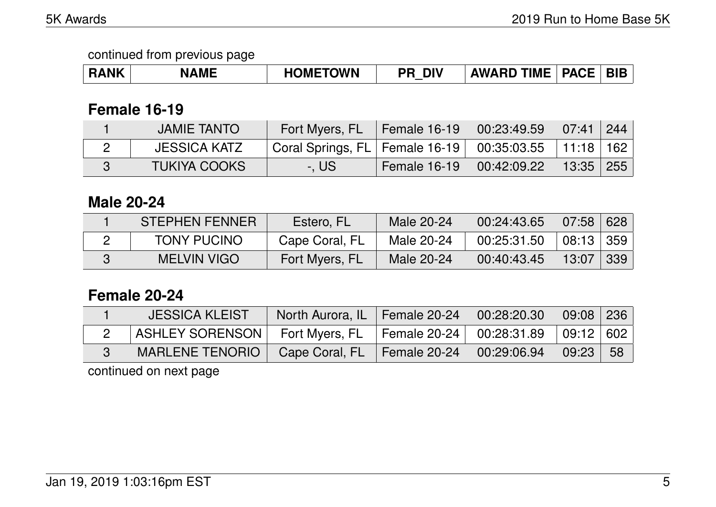continued from previous page

| <b>RANK</b> | <b>NAMF</b> | <b>HOMETOWN</b> | <b>DIV</b><br>РR | TIME<br><b>AWARD</b> | <b>PACE</b> |  |
|-------------|-------------|-----------------|------------------|----------------------|-------------|--|
|-------------|-------------|-----------------|------------------|----------------------|-------------|--|

## **Female 16-19**

| <b>JAMIE TANTO</b>  | Fort Myers, FL                                               | Female $16-19$      | 00:23:49.59 | 07:41       | 244 |
|---------------------|--------------------------------------------------------------|---------------------|-------------|-------------|-----|
| JESSICA KATZ        | Coral Springs, FL   Female 16-19   00:35:03.55   11:18   162 |                     |             |             |     |
| <b>TUKIYA COOKS</b> | -. US                                                        | <b>Female 16-19</b> | 00:42:09.22 | $13:35$ 255 |     |

# **Male 20-24**

| <b>STEPHEN FENNER</b> | Estero, FL     | Male 20-24 | 00:24:43.65 | 07:58         | 628    |
|-----------------------|----------------|------------|-------------|---------------|--------|
| <b>TONY PUCINO</b>    | Cape Coral, FL | Male 20-24 | 00:25:31.50 | $08:13$   359 |        |
| MELVIN VIGO           | Fort Myers, FL | Male 20-24 | 00:40:43.45 | 13:07         | -339 I |

## **Female 20-24**

| <b>JESSICA KLEIST</b>  | North Aurora, IL   Female 20-24 | 00:28:20.30         | 09:08 236 |      |
|------------------------|---------------------------------|---------------------|-----------|------|
| <b>ASHLEY SORENSON</b> | Fort Myers, $FL$   Female 20-24 | 00:28:31.89         | 09:12 602 |      |
| <b>MARLENE TENORIO</b> | Cape Coral, $FL$   Female 20-24 | $\sqrt{0.29:06.94}$ | 09:23     | - 58 |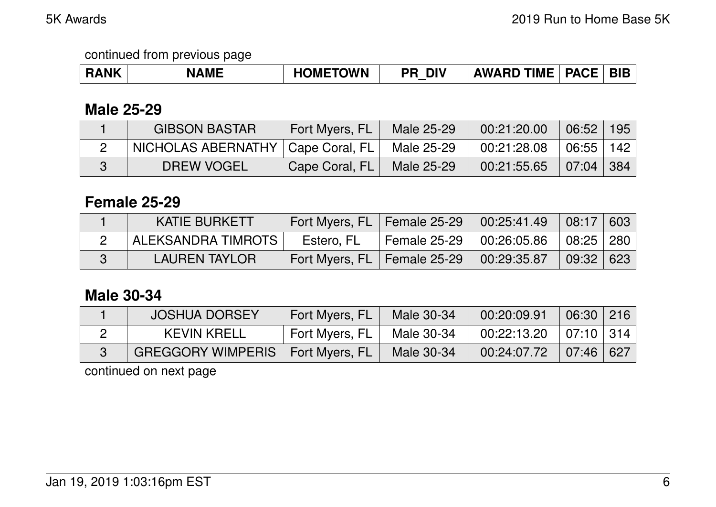| RANK | <b>NAME</b> | <b>METOWN</b><br>OME<br>. . | <b>DIV</b><br>ספ | <b>TIME</b><br><b>AWARD</b> | <b>PACE</b> | <b>BIB</b> |
|------|-------------|-----------------------------|------------------|-----------------------------|-------------|------------|
|------|-------------|-----------------------------|------------------|-----------------------------|-------------|------------|

## **Male 25-29**

| <b>GIBSON BASTAR</b>                | Fort Myers, FL | Male 25-29        | 00:21:20.00 | 106:52        | 195 |
|-------------------------------------|----------------|-------------------|-------------|---------------|-----|
| NICHOLAS ABERNATHY   Cape Coral, FL |                | Male 25-29        | 00:21:28.08 | $06:55$   142 |     |
| <b>DREW VOGEL</b>                   | Cape Coral, FL | <b>Male 25-29</b> | 00:21:55.65 | 07:04 384     |     |

### **Female 25-29**

| <b>KATIE BURKETT</b> | Fort Myers, FL   Female 25-29   00:25:41.49 |                            | 08:17 603                         |  |
|----------------------|---------------------------------------------|----------------------------|-----------------------------------|--|
| ALEKSANDRA TIMROTS   | Estero, FL                                  | Female 25-29   00:26:05.86 | $\vert$ 08:25 $\vert$ 280 $\vert$ |  |
| <b>LAUREN TAYLOR</b> | Fort Myers, FL   Female 25-29   00:29:35.87 |                            | 09:32 623                         |  |

### **Male 30-34**

| <b>JOSHUA DORSEY</b>                        | Fort Myers, FL | Male 30-34 | 00:20:09.91 | $06:30$ 216 |  |
|---------------------------------------------|----------------|------------|-------------|-------------|--|
| <b>KEVIN KRELL</b>                          | Fort Myers, FL | Male 30-34 | 00:22:13.20 | 07:10 314   |  |
| <b>GREGGORY WIMPERIS   Fort Myers, FL  </b> |                | Male 30-34 | 00:24:07.72 | 07:46 627   |  |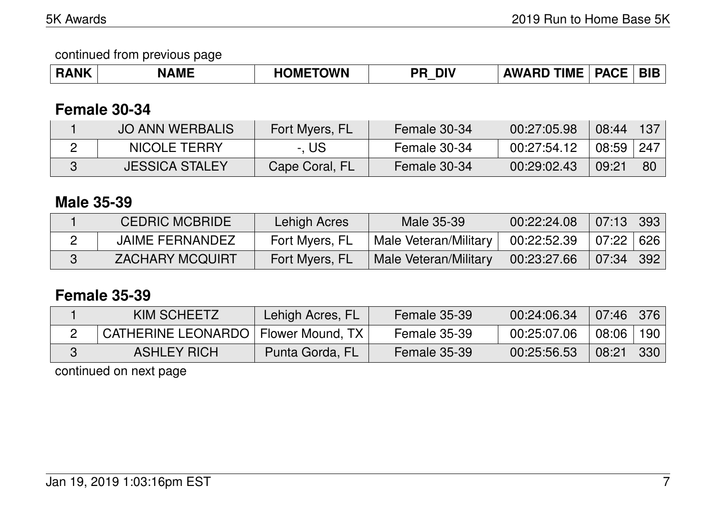| <b>RANK</b> | AME | <b>TOWN</b><br>NNC | <b>DIV</b><br>DD<br>ח־ | <b>TIME</b><br>۱W | <b>-----</b><br>DΔι<br>AvL | BIF |
|-------------|-----|--------------------|------------------------|-------------------|----------------------------|-----|
|-------------|-----|--------------------|------------------------|-------------------|----------------------------|-----|

## **Female 30-34**

| <b>JO ANN WERBALIS</b> | Fort Myers, FL | Female 30-34 | 00:27:05.98 | $08:44$   137 |    |
|------------------------|----------------|--------------|-------------|---------------|----|
| <b>NICOLE TERRY</b>    | -. US          | Female 30-34 | 00:27:54.12 | $08:59$ 247   |    |
| <b>JESSICA STALEY</b>  | Cape Coral, FL | Female 30-34 | 00:29:02.43 | 09:21         | 8C |

## **Male 35-39**

| <b>CEDRIC MCBRIDE</b>  | Lehigh Acres   | Male 35-39                   | 00:22:24.08 | $07:13$ 393      |  |
|------------------------|----------------|------------------------------|-------------|------------------|--|
| <b>JAIME FERNANDEZ</b> | Fort Myers, FL | ' Male Veteran/Military r    | 00:22:52.39 | $07:22 \mid 626$ |  |
| <b>ZACHARY MCQUIRT</b> | Fort Myers, FL | <b>Male Veteran/Military</b> | 00:23:27.66 | $07:34$ 392      |  |

## **Female 35-39**

| KIM SCHEETZ                           | Lehigh Acres, FL | Female 35-39 | 00:24:06.34 | $07:46 \mid 376$ |     |
|---------------------------------------|------------------|--------------|-------------|------------------|-----|
| CATHERINE LEONARDO   Flower Mound, TX |                  | Female 35-39 | 00:25:07.06 | $08:06$          | 190 |
| <b>ASHLEY RICH</b>                    | Punta Gorda, FL  | Female 35-39 | 00:25:56.53 | 08:21            | 330 |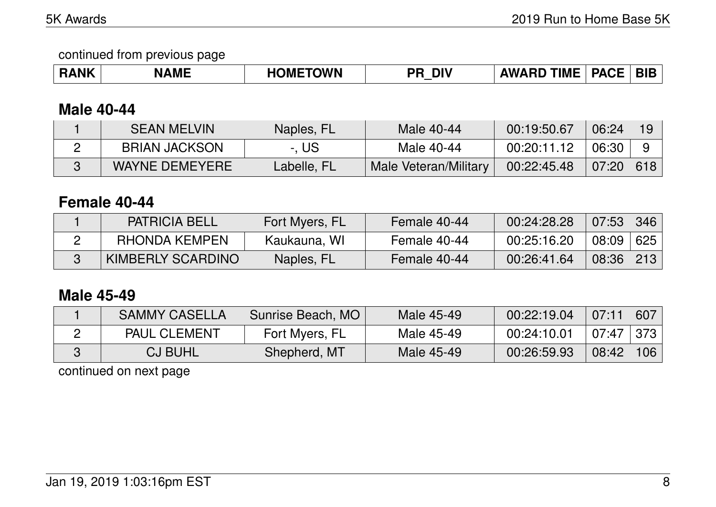### **Male 40-44**

| <b>SEAN MELVIN</b>    | Naples, FL  | Male 40-44            | 00:19:50.67 | 06:24            |  |
|-----------------------|-------------|-----------------------|-------------|------------------|--|
| <b>BRIAN JACKSON</b>  | -. US       | Male 40-44            | 00:20:11.12 | 06:30            |  |
| <b>WAYNE DEMEYERE</b> | Labelle, FL | Male Veteran/Military | 00:22:45.48 | $07:20 \mid 618$ |  |

### **Female 40-44**

| <b>PATRICIA BELL</b> | Fort Myers, FL | Female 40-44 | 00:24:28.28 | 07:53 | 346 |
|----------------------|----------------|--------------|-------------|-------|-----|
| RHONDA KEMPEN        | Kaukauna, WI   | Female 40-44 | 00:25:16.20 | 08:09 | 625 |
| KIMBERLY SCARDINO    | Naples, FL     | Female 40-44 | 00:26:41.64 | 08:36 | 213 |

### **Male 45-49**

| <b>SAMMY CASELLA</b> | Sunrise Beach, MO | Male 45-49 | 00:22:19.04 | 07:11       | 607 |
|----------------------|-------------------|------------|-------------|-------------|-----|
| <b>PAUL CLEMENT</b>  | Fort Myers, FL    | Male 45-49 | 00:24:10.01 | 07:47   373 |     |
| <b>CJ BUHL</b>       | Shepherd, MT      | Male 45-49 | 00:26:59.93 | 08:42       | 106 |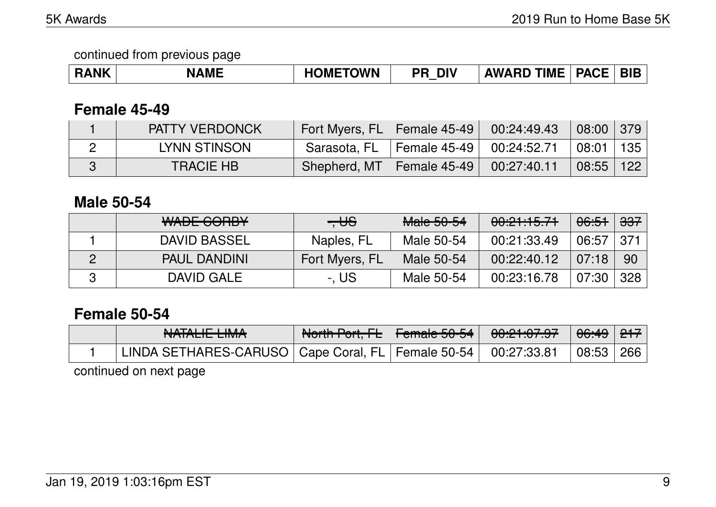| <b>RANK</b> | <b>NAME</b> | <b>OMETOWN</b> | <b>DIV</b><br>DD | <b>TIME</b><br><b>AWARD</b> | <b>PACF</b><br>АСГ | ÐH<br>nı. |
|-------------|-------------|----------------|------------------|-----------------------------|--------------------|-----------|
|-------------|-------------|----------------|------------------|-----------------------------|--------------------|-----------|

### **Female 45-49**

| <b>PATTY VERDONCK</b> | Fort Myers, FL   Female 45-49 |                                           | 00:24:49.43 | $\vert$ 08:00 $\vert$ 379 $\vert$ |  |
|-----------------------|-------------------------------|-------------------------------------------|-------------|-----------------------------------|--|
| LYNN STINSON          |                               | Sarasota, FL   Female 45-49   00:24:52.71 |             | $\mid$ 08:01   135                |  |
| <b>TRACIE HB</b>      | Shepherd, MT   Female 45-49   |                                           | 00:27:40.11 | $08:55$   122                     |  |

#### **Male 50-54**

| <u>MADE CODDV</u><br><del>WADL OONDT</del> | $- \theta$     | Mole EQE4<br><del>Maic JU-J4</del> | 00:21:15.71 | <del>06:51</del> | <del>337</del> |
|--------------------------------------------|----------------|------------------------------------|-------------|------------------|----------------|
| DAVID BASSEL                               | Naples, FL     | Male 50-54                         | 00:21:33.49 | 06:57            | . 371          |
| <b>PAUL DANDINI</b>                        | Fort Myers, FL | Male 50-54                         | 00:22:40.12 | 07:18            | 90             |
| DAVID GALE                                 | -, US          | Male 50-54                         | 00:23:16.78 | 07:30            | 328            |

## **Female 50-54**

| NIATAL IT I INJA<br>NAIALIL LIMA                                    | North Port, FL   Female 50-54 | 0.01.07.07<br>$\overline{U}$ | <del>06:49</del>   <del>217</del> |  |
|---------------------------------------------------------------------|-------------------------------|------------------------------|-----------------------------------|--|
| LINDA SETHARES-CARUSO   Cape Coral, FL   Female 50-54   00:27:33.81 |                               |                              | 08:53   266                       |  |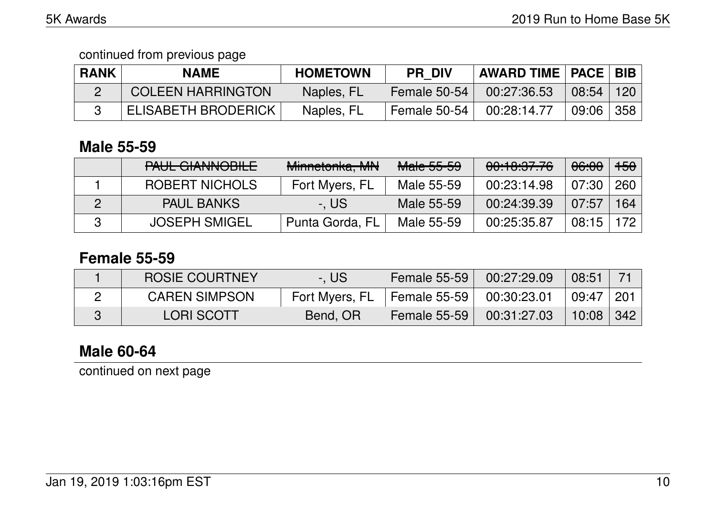| <b>RANK</b> | <b>NAME</b>                | <b>HOMETOWN</b> | <b>PR DIV</b>            | <b>AWARD TIME   PACE   BIB  </b> |       |     |
|-------------|----------------------------|-----------------|--------------------------|----------------------------------|-------|-----|
|             | <b>COLEEN HARRINGTON</b>   | Naples, FL      | <b>Female 50-54</b>      | 00:27:36.53                      | 08:54 | 120 |
|             | <b>ELISABETH BRODERICK</b> | Naples, FL      | Female 50-54 $\parallel$ | 00:28:14.77                      | 09:06 | 358 |

### **Male 55-59**

| DALIL CIANINIODILE<br><b>TAUL UIAINVUULE</b> | Minnetonka, MN  | <b>Male 55-59</b> | 00:10:37.76 | 06:00 | $+50$ |
|----------------------------------------------|-----------------|-------------------|-------------|-------|-------|
| <b>ROBERT NICHOLS</b>                        | Fort Myers, FL  | Male 55-59        | 00:23:14.98 | 07:30 | 260   |
| <b>PAUL BANKS</b>                            | -. US           | Male 55-59        | 00:24:39.39 | 07:57 | 164   |
| <b>JOSEPH SMIGEL</b>                         | Punta Gorda, FL | Male 55-59        | 00:25:35.87 | 08:15 | 172   |

## **Female 55-59**

| <b>ROSIE COURTNEY</b> | -. US          | <b>Female 55-59</b>          | 00:27:29.09 | 08:51       |                     |
|-----------------------|----------------|------------------------------|-------------|-------------|---------------------|
| <b>CAREN SIMPSON</b>  | Fort Myers, FL | Female 55-59   $00:30:23.01$ |             | 09:47   201 |                     |
| <b>LORI SCOTT</b>     | Bend, OR       | <b>Female 55-59</b>          | 00:31:27.03 | 10:08       | $\vert$ 342 $\vert$ |

# **Male 60-64**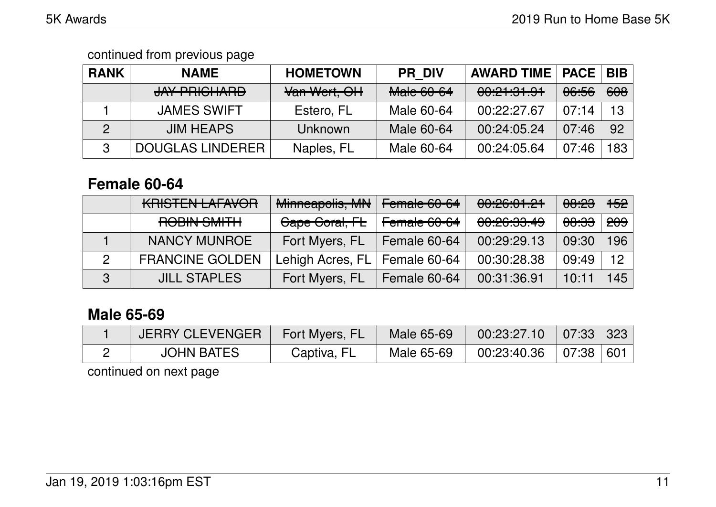| <b>RANK</b> | <b>NAME</b>             | <b>HOMETOWN</b> | <b>PR DIV</b>                 | <b>AWARD TIME   PACE</b>                    |                  | <b>BIB</b> |
|-------------|-------------------------|-----------------|-------------------------------|---------------------------------------------|------------------|------------|
|             | JAY PRICHARD            | Van Wert, OH    | MoleCOCA<br><b>Malc OU-04</b> | <u>00.01.01.01</u><br><u>UU. LI. JI. JT</u> | <del>06:56</del> | 608        |
|             | <b>JAMES SWIFT</b>      | Estero, FL      | Male 60-64                    | 00:22:27.67                                 | 07:14            | 13         |
| 2           | <b>JIM HEAPS</b>        | Unknown         | Male 60-64                    | 00:24:05.24                                 | 07:46            | 92         |
|             | <b>DOUGLAS LINDERER</b> | Naples, FL      | Male 60-64                    | 00:24:05.64                                 | 07:46            | 183        |

## **Female 60-64**

| <u>VDICTENI I AFAVOD</u><br><u>MNOTEN EALAVON</u> | Minneapolis, MN  | Female 60-64 | 00:26:01.21                                        | <del>08:23</del> | <del>152</del> |
|---------------------------------------------------|------------------|--------------|----------------------------------------------------|------------------|----------------|
| DODIN CMITH<br><b>TITULO YING ATA</b>             | Gape Goral, FL   | Female 60-64 | <u>anoc.go 10</u><br><u>UU.CU.UU.<del>4</del>J</u> | <del>08:33</del> | <del>209</del> |
| <b>NANCY MUNROE</b>                               | Fort Myers, FL   | Female 60-64 | 00:29:29.13                                        | 09:30            | 196            |
| <b>FRANCINE GOLDEN</b>                            | Lehigh Acres, FL | Female 60-64 | 00:30:28.38                                        | 09:49            | 12             |
| <b>JILL STAPLES</b>                               | Fort Myers, FL   | Female 60-64 | 00:31:36.91                                        | 10:11            | 45             |

# **Male 65-69**

| JERRY CLEVENGER   | Fort Myers, FL | <b>Male 65-69</b> | 00:23:27.10 | $\parallel$ 07:33 $\parallel$ 323 |  |
|-------------------|----------------|-------------------|-------------|-----------------------------------|--|
| <b>JOHN BATES</b> | Captiva, FL    | Male 65-69        | 00:23:40.36 | 07:38 601                         |  |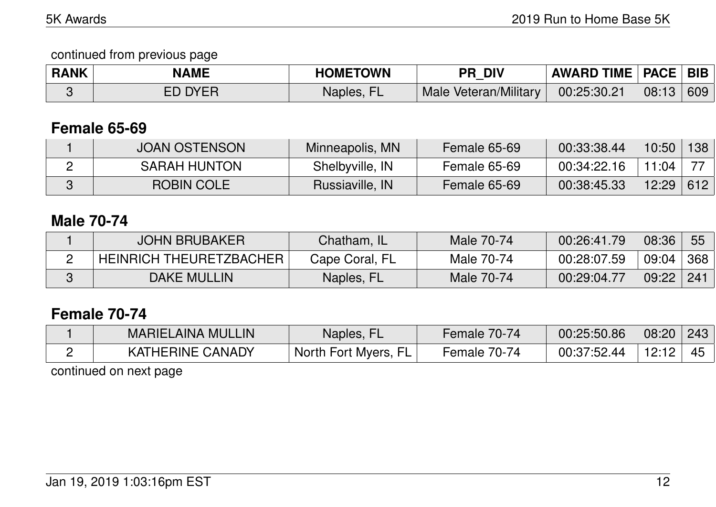| <b>RANK</b> | <b>NAME</b>    | <b>HOMETOWN</b> | <b>PR DIV</b>         | <b>AWARD TIME   PACE   BIB</b> |           |  |
|-------------|----------------|-----------------|-----------------------|--------------------------------|-----------|--|
|             | <b>ED DYER</b> | Naples, FL      | Male Veteran/Military | 00:25:30.21                    | 08:13 609 |  |

## **Female 65-69**

| <b>JOAN OSTENSON</b> | Minneapolis, MN | Female 65-69 | 00:33:38.44 | 10:50 | 138 |
|----------------------|-----------------|--------------|-------------|-------|-----|
| <b>SARAH HUNTON</b>  | Shelbyville, IN | Female 65-69 | 00:34:22.16 | 11.04 |     |
| ROBIN COLE           | Russiaville, IN | Female 65-69 | 00:38:45.33 | 12:29 | 612 |

## **Male 70-74**

| <b>JOHN BRUBAKER</b>           | Chatham, IL    | Male 70-74 | 00:26:41.79 | 08:36         | 55  |
|--------------------------------|----------------|------------|-------------|---------------|-----|
| <b>HEINRICH THEURETZBACHER</b> | Cape Coral, FL | Male 70-74 | 00:28:07.59 | 09:04         | 368 |
| <b>DAKE MULLIN</b>             | Naples, FL     | Male 70-74 | 00:29:04.77 | $09:22$   241 |     |

## **Female 70-74**

| <b>MARIELAINA MULLIN</b> | Naples, FL           | Female 70-74 | 00:25:50.86 | 08:20 | 243 |
|--------------------------|----------------------|--------------|-------------|-------|-----|
| <b>KATHERINE CANADY</b>  | North Fort Myers, FL | Female 70-74 | 00:37:52.44 | 12:12 |     |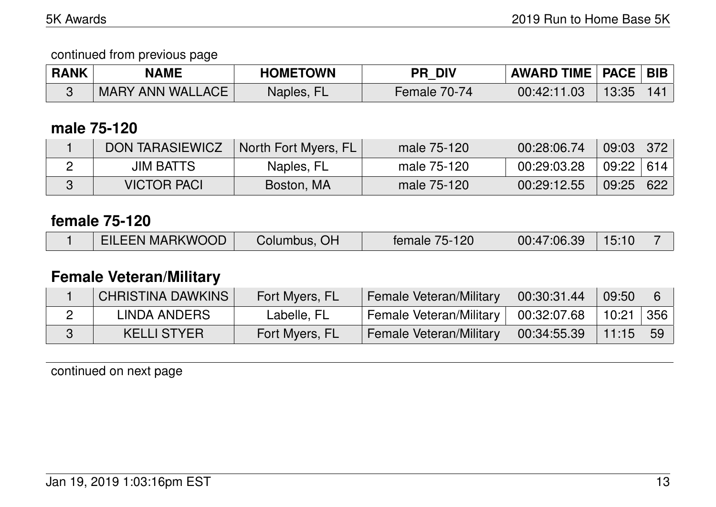| <b>RANK</b> | <b>NAME</b>      | <b>HOMETOWN</b> | <b>PR DIV</b> | <b>AWARD TIME   PACE   BIB  </b> |       |     |
|-------------|------------------|-----------------|---------------|----------------------------------|-------|-----|
|             | MARY ANN WALLACE | Naples, FL      | Female 70-74  | 00:42:11.03                      | 13:35 | 141 |

## **male 75-120**

| <b>DON TARASIEWICZ</b> | North Fort Myers, FL | male 75-120 | 00:28:06.74 | $09:03$ 372   |     |
|------------------------|----------------------|-------------|-------------|---------------|-----|
| <b>JIM BATTS</b>       | Naples, FL           | male 75-120 | 00:29:03.28 | $09:22$   614 |     |
| <b>VICTOR PACI</b>     | Boston, MA           | male 75-120 | 00:29:12.55 | 09:25         | 622 |

#### **female 75-120**

|  | <b>EILEEN MARKWOOD</b> | Columbus, OH | female 75-120 | 00:47:06.39 | 15:10 |  |
|--|------------------------|--------------|---------------|-------------|-------|--|
|--|------------------------|--------------|---------------|-------------|-------|--|

# **Female Veteran/Military**

| CHRISTINA DAWKINS | Fort Myers, FL | <b>Female Veteran/Military</b>        | 00:30:31.44 | 09:50      | 6 |
|-------------------|----------------|---------------------------------------|-------------|------------|---|
| LINDA ANDERS      | Labelle, FL    | Female Veteran/Military   00:32:07.68 |             | 10:21 356  |   |
| KELLI STYER       | Fort Myers, FL | Female Veteran/Military               | 00:34:55.39 | $11:15$ 59 |   |